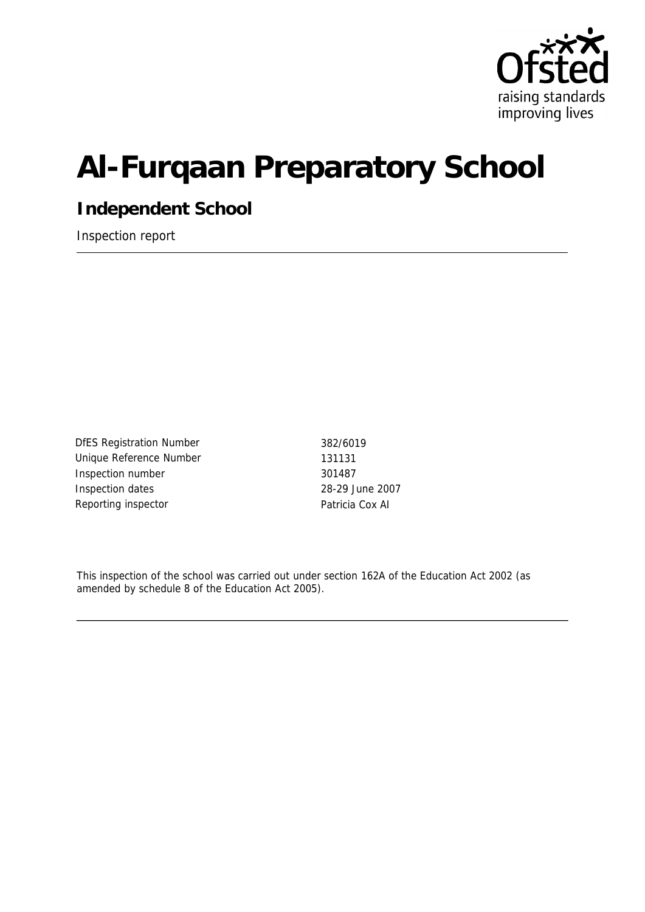

# **Al-Furqaan Preparatory School**

**Independent School**

Inspection report

DfES Registration Number 382/6019 Unique Reference Number 131131 Inspection number 301487 Inspection dates 28-29 June 2007 Reporting inspector **Patricia Cox AI** 

This inspection of the school was carried out under section 162A of the Education Act 2002 (as amended by schedule 8 of the Education Act 2005).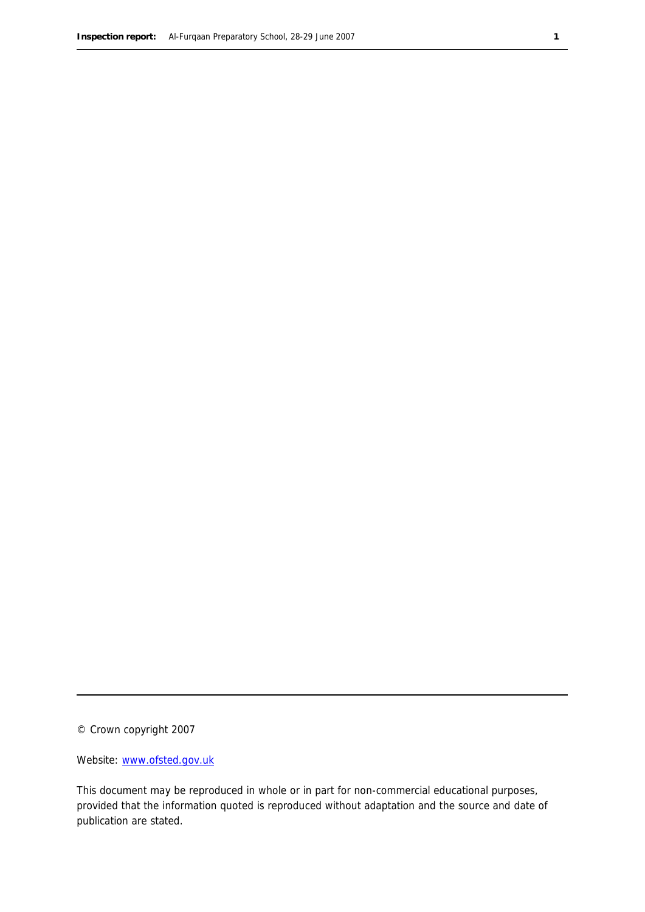© Crown copyright 2007

Website: www.ofsted.gov.uk

This document may be reproduced in whole or in part for non-commercial educational purposes, provided that the information quoted is reproduced without adaptation and the source and date of publication are stated.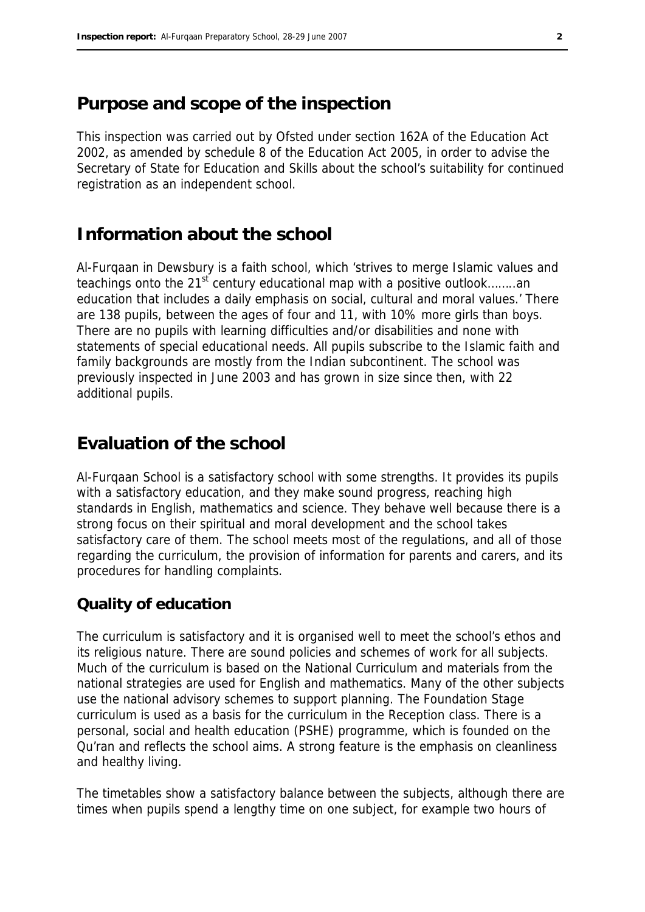# **Purpose and scope of the inspection**

This inspection was carried out by Ofsted under section 162A of the Education Act 2002, as amended by schedule 8 of the Education Act 2005, in order to advise the Secretary of State for Education and Skills about the school's suitability for continued registration as an independent school.

# **Information about the school**

Al-Furqaan in Dewsbury is a faith school, which 'strives to merge Islamic values and teachings onto the 21<sup>st</sup> century educational map with a positive outlook........an education that includes a daily emphasis on social, cultural and moral values.' There are 138 pupils, between the ages of four and 11, with 10% more girls than boys. There are no pupils with learning difficulties and/or disabilities and none with statements of special educational needs. All pupils subscribe to the Islamic faith and family backgrounds are mostly from the Indian subcontinent. The school was previously inspected in June 2003 and has grown in size since then, with 22 additional pupils.

# **Evaluation of the school**

Al-Furqaan School is a satisfactory school with some strengths. It provides its pupils with a satisfactory education, and they make sound progress, reaching high standards in English, mathematics and science. They behave well because there is a strong focus on their spiritual and moral development and the school takes satisfactory care of them. The school meets most of the regulations, and all of those regarding the curriculum, the provision of information for parents and carers, and its procedures for handling complaints.

#### **Quality of education**

The curriculum is satisfactory and it is organised well to meet the school's ethos and its religious nature. There are sound policies and schemes of work for all subjects. Much of the curriculum is based on the National Curriculum and materials from the national strategies are used for English and mathematics. Many of the other subjects use the national advisory schemes to support planning. The Foundation Stage curriculum is used as a basis for the curriculum in the Reception class. There is a personal, social and health education (PSHE) programme, which is founded on the Qu'ran and reflects the school aims. A strong feature is the emphasis on cleanliness and healthy living.

The timetables show a satisfactory balance between the subjects, although there are times when pupils spend a lengthy time on one subject, for example two hours of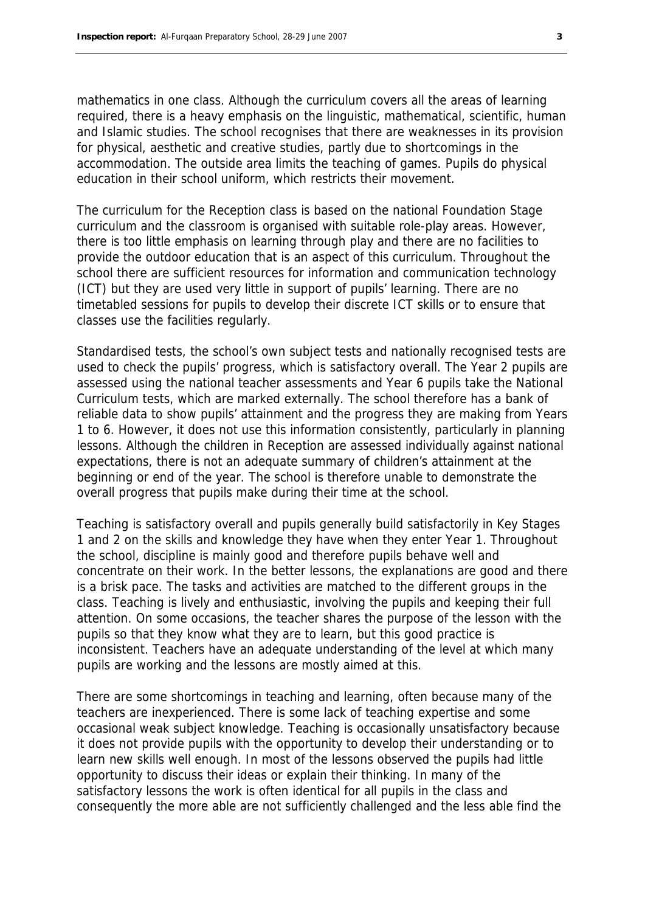mathematics in one class. Although the curriculum covers all the areas of learning required, there is a heavy emphasis on the linguistic, mathematical, scientific, human and Islamic studies. The school recognises that there are weaknesses in its provision for physical, aesthetic and creative studies, partly due to shortcomings in the accommodation. The outside area limits the teaching of games. Pupils do physical education in their school uniform, which restricts their movement.

The curriculum for the Reception class is based on the national Foundation Stage curriculum and the classroom is organised with suitable role-play areas. However, there is too little emphasis on learning through play and there are no facilities to provide the outdoor education that is an aspect of this curriculum. Throughout the school there are sufficient resources for information and communication technology (ICT) but they are used very little in support of pupils' learning. There are no timetabled sessions for pupils to develop their discrete ICT skills or to ensure that classes use the facilities regularly.

Standardised tests, the school's own subject tests and nationally recognised tests are used to check the pupils' progress, which is satisfactory overall. The Year 2 pupils are assessed using the national teacher assessments and Year 6 pupils take the National Curriculum tests, which are marked externally. The school therefore has a bank of reliable data to show pupils' attainment and the progress they are making from Years 1 to 6. However, it does not use this information consistently, particularly in planning lessons. Although the children in Reception are assessed individually against national expectations, there is not an adequate summary of children's attainment at the beginning or end of the year. The school is therefore unable to demonstrate the overall progress that pupils make during their time at the school.

Teaching is satisfactory overall and pupils generally build satisfactorily in Key Stages 1 and 2 on the skills and knowledge they have when they enter Year 1. Throughout the school, discipline is mainly good and therefore pupils behave well and concentrate on their work. In the better lessons, the explanations are good and there is a brisk pace. The tasks and activities are matched to the different groups in the class. Teaching is lively and enthusiastic, involving the pupils and keeping their full attention. On some occasions, the teacher shares the purpose of the lesson with the pupils so that they know what they are to learn, but this good practice is inconsistent. Teachers have an adequate understanding of the level at which many pupils are working and the lessons are mostly aimed at this.

There are some shortcomings in teaching and learning, often because many of the teachers are inexperienced. There is some lack of teaching expertise and some occasional weak subject knowledge. Teaching is occasionally unsatisfactory because it does not provide pupils with the opportunity to develop their understanding or to learn new skills well enough. In most of the lessons observed the pupils had little opportunity to discuss their ideas or explain their thinking. In many of the satisfactory lessons the work is often identical for all pupils in the class and consequently the more able are not sufficiently challenged and the less able find the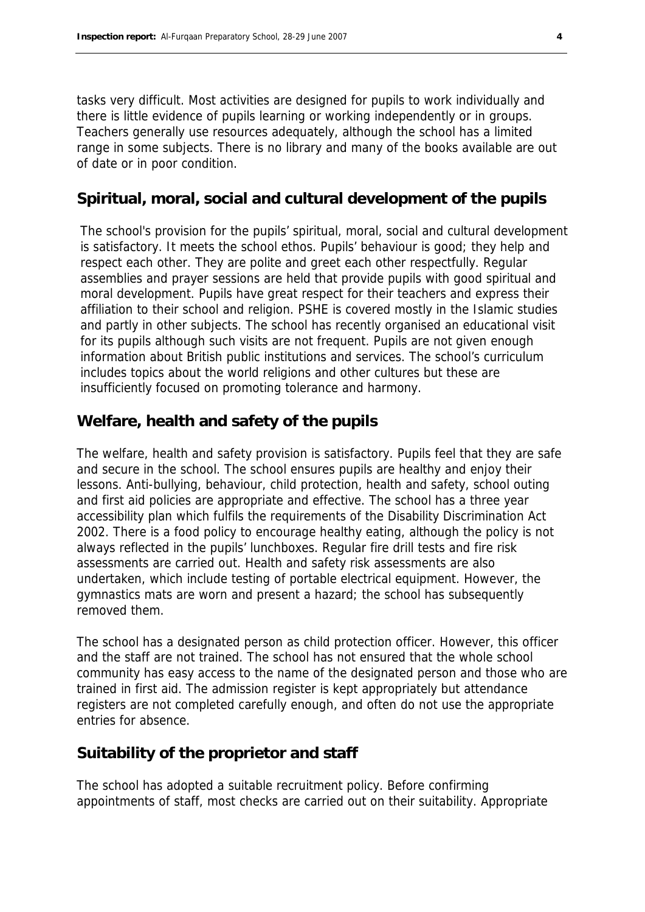tasks very difficult. Most activities are designed for pupils to work individually and there is little evidence of pupils learning or working independently or in groups. Teachers generally use resources adequately, although the school has a limited range in some subjects. There is no library and many of the books available are out of date or in poor condition.

#### **Spiritual, moral, social and cultural development of the pupils**

The school's provision for the pupils' spiritual, moral, social and cultural development is satisfactory. It meets the school ethos. Pupils' behaviour is good; they help and respect each other. They are polite and greet each other respectfully. Regular assemblies and prayer sessions are held that provide pupils with good spiritual and moral development. Pupils have great respect for their teachers and express their affiliation to their school and religion. PSHE is covered mostly in the Islamic studies and partly in other subjects. The school has recently organised an educational visit for its pupils although such visits are not frequent. Pupils are not given enough information about British public institutions and services. The school's curriculum includes topics about the world religions and other cultures but these are insufficiently focused on promoting tolerance and harmony.

#### **Welfare, health and safety of the pupils**

The welfare, health and safety provision is satisfactory. Pupils feel that they are safe and secure in the school. The school ensures pupils are healthy and enjoy their lessons. Anti-bullying, behaviour, child protection, health and safety, school outing and first aid policies are appropriate and effective. The school has a three year accessibility plan which fulfils the requirements of the Disability Discrimination Act 2002. There is a food policy to encourage healthy eating, although the policy is not always reflected in the pupils' lunchboxes. Regular fire drill tests and fire risk assessments are carried out. Health and safety risk assessments are also undertaken, which include testing of portable electrical equipment. However, the gymnastics mats are worn and present a hazard; the school has subsequently removed them.

The school has a designated person as child protection officer. However, this officer and the staff are not trained. The school has not ensured that the whole school community has easy access to the name of the designated person and those who are trained in first aid. The admission register is kept appropriately but attendance registers are not completed carefully enough, and often do not use the appropriate entries for absence.

#### **Suitability of the proprietor and staff**

The school has adopted a suitable recruitment policy. Before confirming appointments of staff, most checks are carried out on their suitability. Appropriate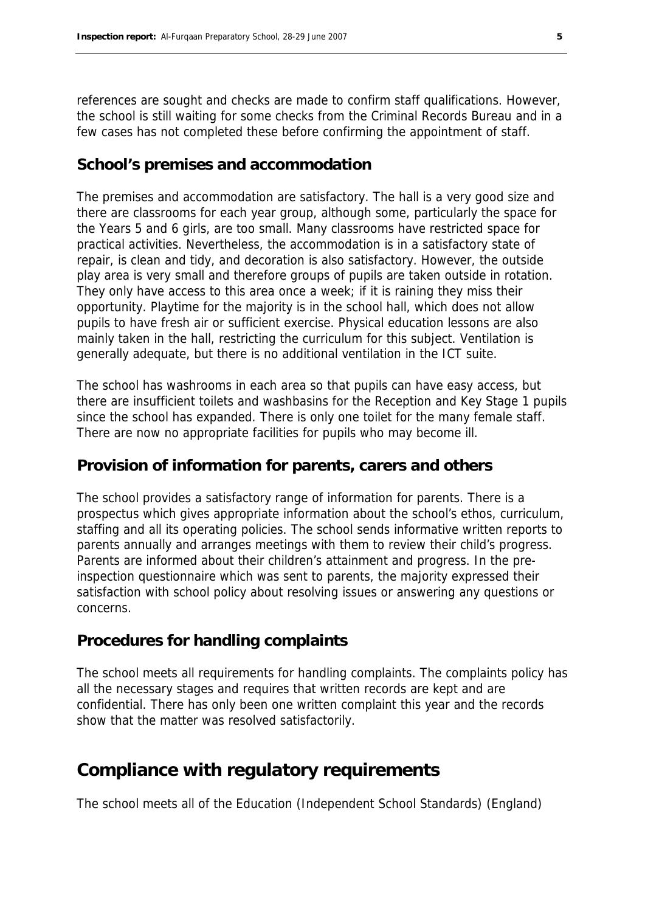references are sought and checks are made to confirm staff qualifications. However, the school is still waiting for some checks from the Criminal Records Bureau and in a few cases has not completed these before confirming the appointment of staff.

#### **School's premises and accommodation**

The premises and accommodation are satisfactory. The hall is a very good size and there are classrooms for each year group, although some, particularly the space for the Years 5 and 6 girls, are too small. Many classrooms have restricted space for practical activities. Nevertheless, the accommodation is in a satisfactory state of repair, is clean and tidy, and decoration is also satisfactory. However, the outside play area is very small and therefore groups of pupils are taken outside in rotation. They only have access to this area once a week; if it is raining they miss their opportunity. Playtime for the majority is in the school hall, which does not allow pupils to have fresh air or sufficient exercise. Physical education lessons are also mainly taken in the hall, restricting the curriculum for this subject. Ventilation is generally adequate, but there is no additional ventilation in the ICT suite.

The school has washrooms in each area so that pupils can have easy access, but there are insufficient toilets and washbasins for the Reception and Key Stage 1 pupils since the school has expanded. There is only one toilet for the many female staff. There are now no appropriate facilities for pupils who may become ill.

#### **Provision of information for parents, carers and others**

The school provides a satisfactory range of information for parents. There is a prospectus which gives appropriate information about the school's ethos, curriculum, staffing and all its operating policies. The school sends informative written reports to parents annually and arranges meetings with them to review their child's progress. Parents are informed about their children's attainment and progress. In the preinspection questionnaire which was sent to parents, the majority expressed their satisfaction with school policy about resolving issues or answering any questions or concerns.

#### **Procedures for handling complaints**

The school meets all requirements for handling complaints. The complaints policy has all the necessary stages and requires that written records are kept and are confidential. There has only been one written complaint this year and the records show that the matter was resolved satisfactorily.

### **Compliance with regulatory requirements**

The school meets all of the Education (Independent School Standards) (England)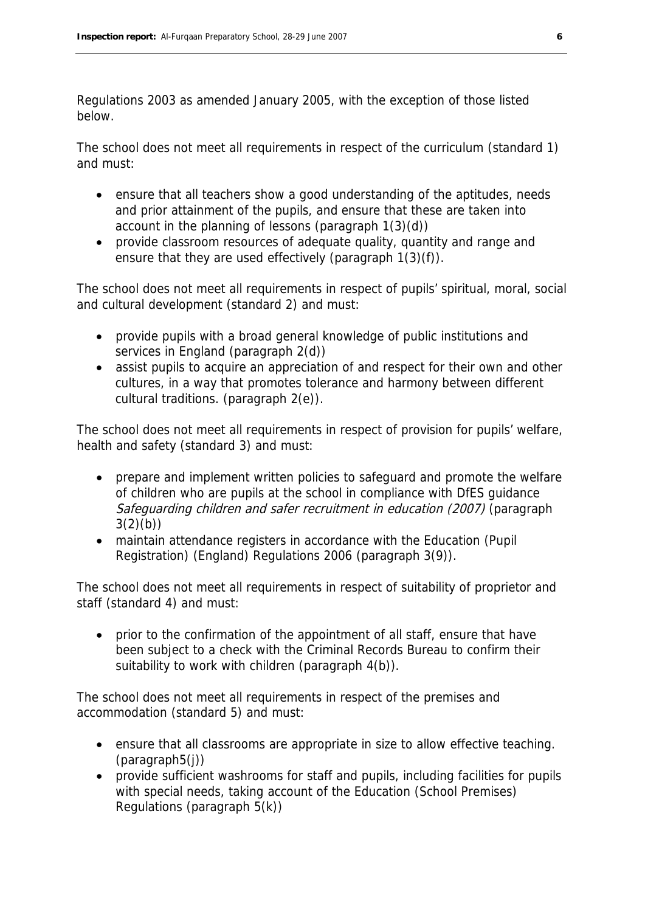Regulations 2003 as amended January 2005, with the exception of those listed below.

The school does not meet all requirements in respect of the curriculum (standard 1) and must:

- ensure that all teachers show a good understanding of the aptitudes, needs and prior attainment of the pupils, and ensure that these are taken into account in the planning of lessons (paragraph 1(3)(d))
- provide classroom resources of adequate quality, quantity and range and ensure that they are used effectively (paragraph  $1(3)(f)$ ).

The school does not meet all requirements in respect of pupils' spiritual, moral, social and cultural development (standard 2) and must:

- provide pupils with a broad general knowledge of public institutions and services in England (paragraph 2(d))
- assist pupils to acquire an appreciation of and respect for their own and other cultures, in a way that promotes tolerance and harmony between different cultural traditions. (paragraph 2(e)).

The school does not meet all requirements in respect of provision for pupils' welfare, health and safety (standard 3) and must:

- prepare and implement written policies to safeguard and promote the welfare of children who are pupils at the school in compliance with DfES guidance Safeguarding children and safer recruitment in education (2007) (paragraph  $3(2)(b)$
- maintain attendance registers in accordance with the Education (Pupil Registration) (England) Regulations 2006 (paragraph 3(9)).

The school does not meet all requirements in respect of suitability of proprietor and staff (standard 4) and must:

 prior to the confirmation of the appointment of all staff, ensure that have been subject to a check with the Criminal Records Bureau to confirm their suitability to work with children (paragraph  $4(b)$ ).

The school does not meet all requirements in respect of the premises and accommodation (standard 5) and must:

- ensure that all classrooms are appropriate in size to allow effective teaching. (paragraph5(j))
- provide sufficient washrooms for staff and pupils, including facilities for pupils with special needs, taking account of the Education (School Premises) Regulations (paragraph 5(k))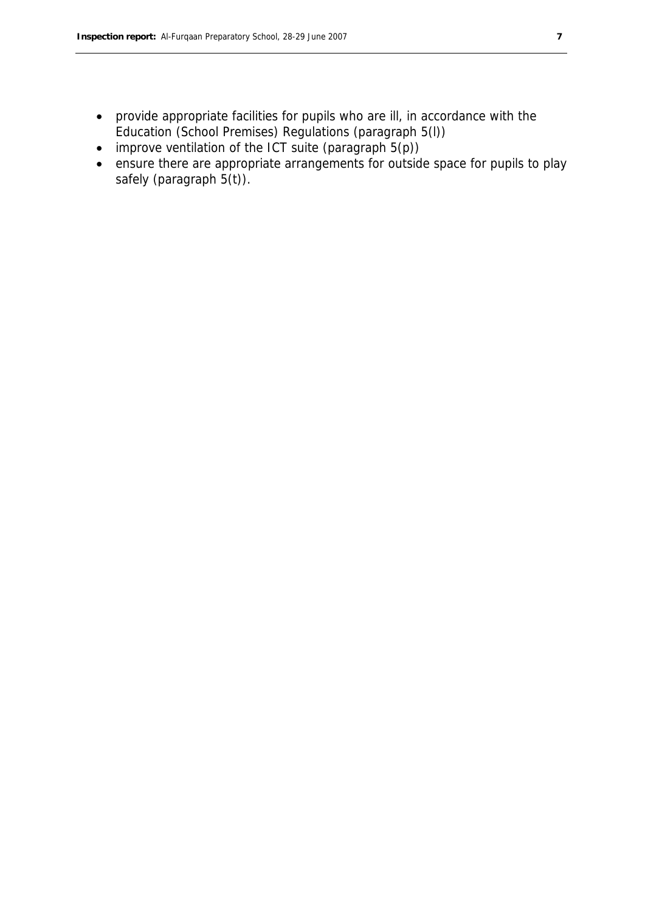- provide appropriate facilities for pupils who are ill, in accordance with the Education (School Premises) Regulations (paragraph 5(l))
- $\bullet$  improve ventilation of the ICT suite (paragraph  $5(p)$ )
- ensure there are appropriate arrangements for outside space for pupils to play safely (paragraph 5(t)).